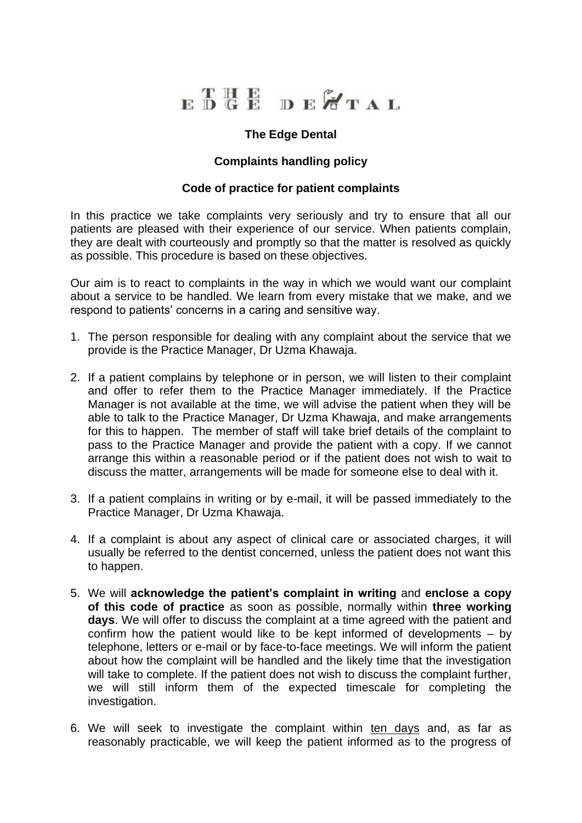

## **The Edge Dental**

## **Complaints handling policy**

## **Code of practice for patient complaints**

In this practice we take complaints very seriously and try to ensure that all our patients are pleased with their experience of our service. When patients complain, they are dealt with courteously and promptly so that the matter is resolved as quickly as possible. This procedure is based on these objectives.

Our aim is to react to complaints in the way in which we would want our complaint about a service to be handled. We learn from every mistake that we make, and we respond to patients' concerns in a caring and sensitive way.

- 1. The person responsible for dealing with any complaint about the service that we provide is the Practice Manager, Dr Uzma Khawaja.
- 2. If a patient complains by telephone or in person, we will listen to their complaint and offer to refer them to the Practice Manager immediately. If the Practice Manager is not available at the time, we will advise the patient when they will be able to talk to the Practice Manager, Dr Uzma Khawaja, and make arrangements for this to happen. The member of staff will take brief details of the complaint to pass to the Practice Manager and provide the patient with a copy. If we cannot arrange this within a reasonable period or if the patient does not wish to wait to discuss the matter, arrangements will be made for someone else to deal with it.
- 3. If a patient complains in writing or by e-mail, it will be passed immediately to the Practice Manager, Dr Uzma Khawaja.
- 4. If a complaint is about any aspect of clinical care or associated charges, it will usually be referred to the dentist concerned, unless the patient does not want this to happen.
- 5. We will **acknowledge the patient's complaint in writing** and **enclose a copy of this code of practice** as soon as possible, normally within **three working days**. We will offer to discuss the complaint at a time agreed with the patient and confirm how the patient would like to be kept informed of developments – by telephone, letters or e-mail or by face-to-face meetings. We will inform the patient about how the complaint will be handled and the likely time that the investigation will take to complete. If the patient does not wish to discuss the complaint further, we will still inform them of the expected timescale for completing the investigation.
- 6. We will seek to investigate the complaint within ten days and, as far as reasonably practicable, we will keep the patient informed as to the progress of